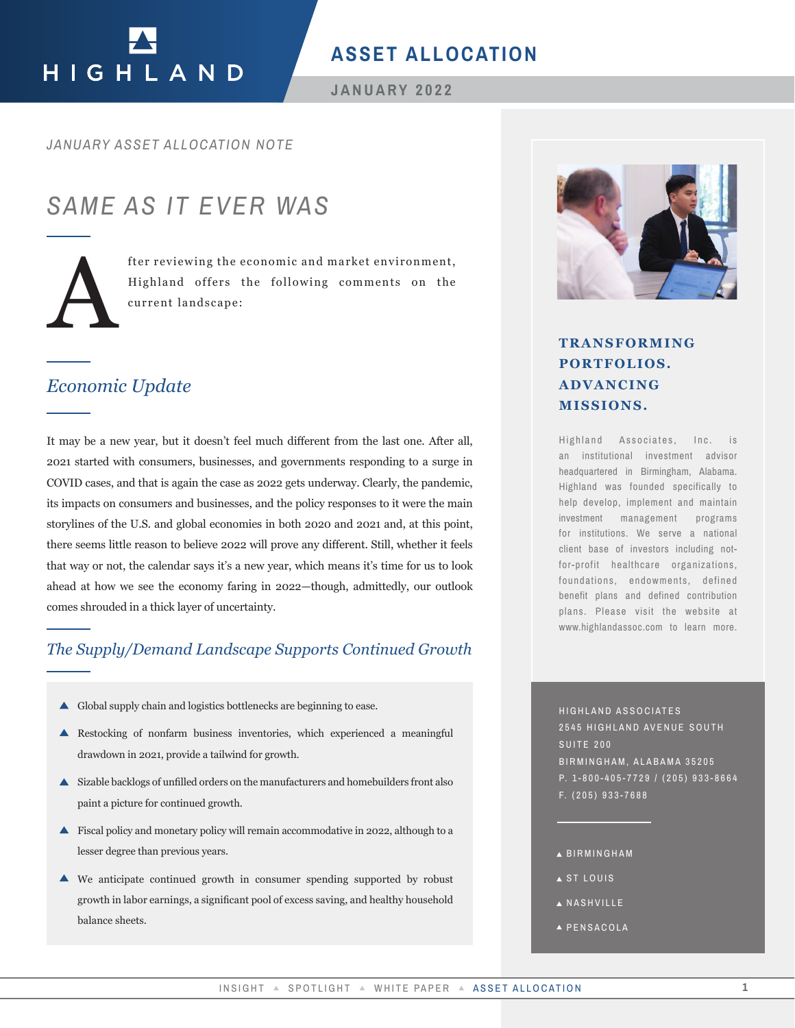# HIGHLAND

## **ASSET ALLOCATION**

**JANUARY 2022**

#### *JANUARY ASSET ALLOCATION NOTE*

# *SAME AS IT EVER WAS*



fter reviewing the economic and market environment, Highland offers the following comments on the current landscape:

## *Economic Update*

It may be a new year, but it doesn't feel much different from the last one. After all, 2021 started with consumers, businesses, and governments responding to a surge in COVID cases, and that is again the case as 2022 gets underway. Clearly, the pandemic, its impacts on consumers and businesses, and the policy responses to it were the main storylines of the U.S. and global economies in both 2020 and 2021 and, at this point, there seems little reason to believe 2022 will prove any different. Still, whether it feels that way or not, the calendar says it's a new year, which means it's time for us to look ahead at how we see the economy faring in 2022—though, admittedly, our outlook comes shrouded in a thick layer of uncertainty. **TRANSFORMING**<br> **PORTFOLIOS.**<br> **PORTFOLIOS**<br> **ADVANCING**<br> **EXERCITENTS ADVANCING**<br> **INSIGNS**, and presentent from the last one. After all,<br>
interactions, and presentent responding to a surge in<br>
tense as some a property c

## *The Supply/Demand Landscape Supports Continued Growth*

- Global supply chain and logistics bottlenecks are beginning to ease.
- Restocking of nonfarm business inventories, which experienced a meaningful drawdown in 2021, provide a tailwind for growth.
- Sizable backlogs of unfilled orders on the manufacturers and homebuilders front also paint a picture for continued growth.
- Fiscal policy and monetary policy will remain accommodative in 2022, although to a lesser degree than previous years.
- We anticipate continued growth in consumer spending supported by robust growth in labor earnings, a significant pool of excess saving, and healthy household balance sheets.



# **PORTFOLIOS. ADVANCING MISSIONS.**

Highland Associates, Inc. is an institutional investment advisor headquartered in Birmingham, Alabama. Highland was founded specifically to help develop, implement and maintain investment management programs for institutions. We serve a national client base of investors including notfor-profit healthcare organizations, foundations, endowments, defined benefit plans and defined contribution plans. Please visit the website at www.highlandassoc.com to learn more.

HIGHLAND ASSOCIATES 2545 HIGHLAND AVENUE SOUTH SUITE 200 BIRMINGHAM, ALABAMA 35205 P. 1-800-405-7729 / (205) 933-8664 F. (205) 933-7688

- BIRMINGHAM
- ST LOUIS
- **A NASHVILLE**
- A PENSACOLA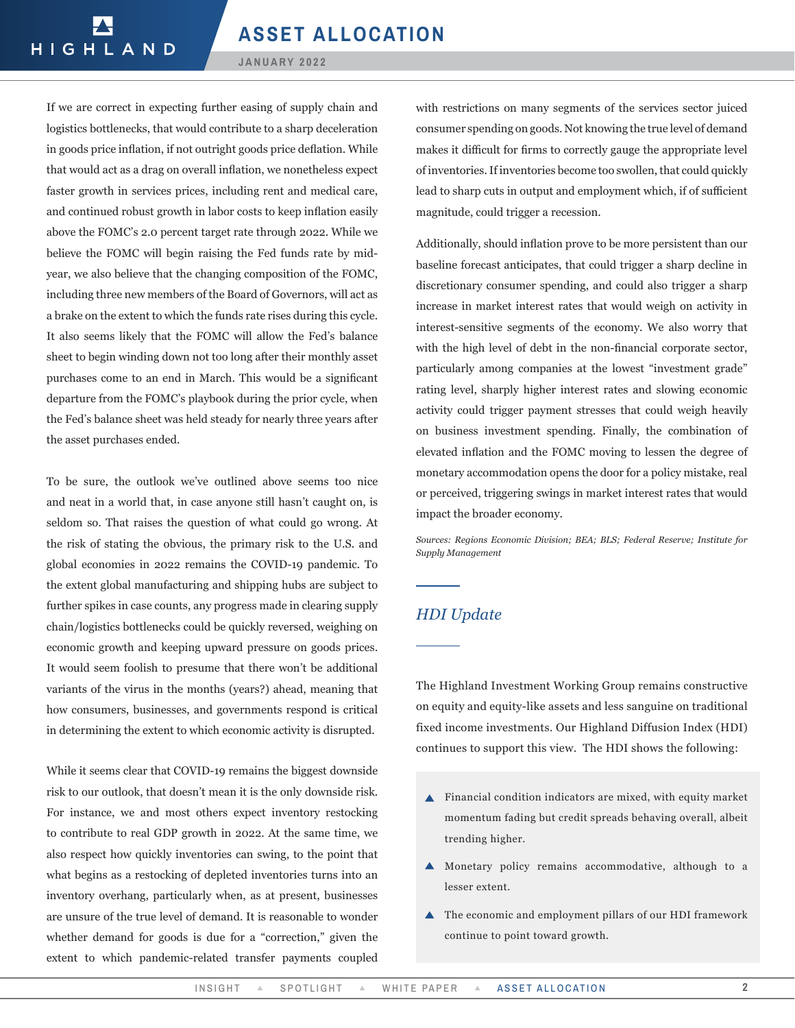#### **JANUARY 2022**

If we are correct in expecting further easing of supply chain and logistics bottlenecks, that would contribute to a sharp deceleration in goods price inflation, if not outright goods price deflation. While that would act as a drag on overall inflation, we nonetheless expect faster growth in services prices, including rent and medical care, and continued robust growth in labor costs to keep inflation easily above the FOMC's 2.0 percent target rate through 2022. While we believe the FOMC will begin raising the Fed funds rate by midyear, we also believe that the changing composition of the FOMC, including three new members of the Board of Governors, will act as a brake on the extent to which the funds rate rises during this cycle. It also seems likely that the FOMC will allow the Fed's balance sheet to begin winding down not too long after their monthly asset purchases come to an end in March. This would be a significant departure from the FOMC's playbook during the prior cycle, when the Fed's balance sheet was held steady for nearly three years after the asset purchases ended.

To be sure, the outlook we've outlined above seems too nice and neat in a world that, in case anyone still hasn't caught on, is seldom so. That raises the question of what could go wrong. At the risk of stating the obvious, the primary risk to the U.S. and global economies in 2022 remains the COVID-19 pandemic. To the extent global manufacturing and shipping hubs are subject to further spikes in case counts, any progress made in clearing supply chain/logistics bottlenecks could be quickly reversed, weighing on economic growth and keeping upward pressure on goods prices. It would seem foolish to presume that there won't be additional variants of the virus in the months (years?) ahead, meaning that how consumers, businesses, and governments respond is critical in determining the extent to which economic activity is disrupted.

While it seems clear that COVID-19 remains the biggest downside risk to our outlook, that doesn't mean it is the only downside risk. For instance, we and most others expect inventory restocking to contribute to real GDP growth in 2022. At the same time, we also respect how quickly inventories can swing, to the point that what begins as a restocking of depleted inventories turns into an inventory overhang, particularly when, as at present, businesses are unsure of the true level of demand. It is reasonable to wonder whether demand for goods is due for a "correction," given the extent to which pandemic-related transfer payments coupled

with restrictions on many segments of the services sector juiced consumer spending on goods. Not knowing the true level of demand makes it difficult for firms to correctly gauge the appropriate level of inventories. If inventories become too swollen, that could quickly lead to sharp cuts in output and employment which, if of sufficient magnitude, could trigger a recession.

Additionally, should inflation prove to be more persistent than our baseline forecast anticipates, that could trigger a sharp decline in discretionary consumer spending, and could also trigger a sharp increase in market interest rates that would weigh on activity in interest-sensitive segments of the economy. We also worry that with the high level of debt in the non-financial corporate sector, particularly among companies at the lowest "investment grade" rating level, sharply higher interest rates and slowing economic activity could trigger payment stresses that could weigh heavily on business investment spending. Finally, the combination of elevated inflation and the FOMC moving to lessen the degree of monetary accommodation opens the door for a policy mistake, real or perceived, triggering swings in market interest rates that would impact the broader economy.

*Sources: Regions Economic Division; BEA; BLS; Federal Reserve; Institute for Supply Management* 

### *HDI Update*

The Highland Investment Working Group remains constructive on equity and equity-like assets and less sanguine on traditional fixed income investments. Our Highland Diffusion Index (HDI) continues to support this view. The HDI shows the following:

- Financial condition indicators are mixed, with equity market momentum fading but credit spreads behaving overall, albeit trending higher.
- Monetary policy remains accommodative, although to a lesser extent.
- ▲ The economic and employment pillars of our HDI framework continue to point toward growth.